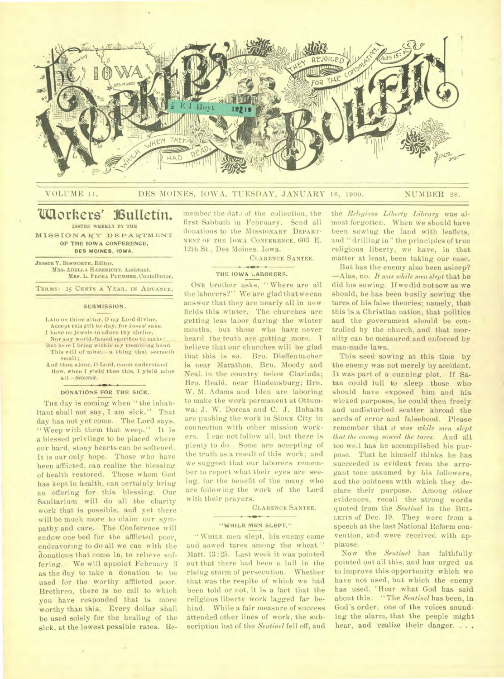

# VOLUME 11, DES MOINES, IOWA, TUESDAY, JANUARY 16, 1900. NUMBER 28.

# **Workers' Bulletin. ISSUED WEEKLY BY THE**

MISSIONARY DEPARTMENT OF THE IOWA **CONFERENCE, DES MOINES, IOWA.** 

**JESSIE V. BOSWORTH,** Editor. **MRS. ADELLA HABENICHT.** Assistant. **MRS.** L. **FLORA PLUMMER,** Contributor.

**TERMS: 25 CENTS A YEAR, IN ADVANCE.** 

## SUBMISSION.

**LAID** on thine altar. 0 my Lord divine,

- Accept this gift to-day, for Jesus' sake. I have no jewels to adorn thy shrine,
- Nor any world-famed sacrifice to make:
- But here I bring within my trembling hand<br>This will of mine,— a thing that seemeth small ;
- And thou alone, 0 Lord, eanst understand How, when I yield thee this, I yield mine all. *—Selected.*

# DONATIONS FOR THE SICK.

THE day is coming when "the inhabitant shall not say, I am sick." That day has not yet come. The Lord says, "Weep with them that weep." It is a blessed privilege to be placed where our hard, stony hearts can be softened. It is our only hope. Those who have been afflicted, can realize the blessing of health restored. Those whom God has kept in health, can certainly bring an offering for this blessing. Our Sanitarium will do all the charity work that is possible, and yet there will be much more to claim our sympathy and care. The Conference will endow one bed for the afflicted poor, endeavoring to do all we can with the donations that come in, to relieve suffering. We will appoint February 3 as the day to take a donation to be used for the worthy afflicted poor. Brethren, there is no call to which you have responded that is more worthy than this. Every dollar shall be used solely for the healing of the sick, at the lowest possible rates. Remember the date of the collection, the first Sabbath in February. Send all donations to the MISSIONARY DEPART-MENT OF THE IOWA CONFERENCE. 603 E. 12th St., Des Moines. Iowa.

CLARENCE SANTEE.

#### THE IOWA LABORERS.

ONE brother asks, "Where are all the laborers?" We are glad that we can answer that they are nearly all in new fields this winter. The churches are getting less labor during the winter months, but those who have never heard the truth are getting more. I believe that our churches will be glad that this is so. Bro. Dieffenbacher is near Marathon, Brn. Moody and Neal, in the country below Clarinda; Bro. Heald, near Bladensburg; Brn. W. M. Adams and Iden are laboring to make the work permanent at Ottumwa; J. W. Dorcas and C. J. Buhalts are pushing the work in Sioux City in connection with other mission workers. I can not follow all, but there is plenty to do. Some are accepting of the truth as a result of this work; and we suggest that our laborers remember to report what their eyes are seeing, for the benefit of the many who are following the work of the Lord with their prayers.

#### CLARENCE SANTEE.

#### "WHILE MEN SLEPT."

WHILE men slept, his enemy came and sowed tares among the wheat." Matt. 13:25. Last week it was pointed out that there had been a lull in the rising storm of persecution. Whether that was the respite of which we had been told or not, it is a fact that the religious liberty work lagged far behind. While a fair measure of success attended other lines of work, the subscription list of the *Sentinel* fell off, and

the *Religious Liberty Library* was almost forgotten. When we should have been sowing the land with leaflets, and "drilling in" the principles of true religious liberty, we have, in that matter at least, been taking our ease.

But has the enemy also been asleep? —Alas, no. *It was whilemen slept* that he did his sowing. If we did not sow as we should, he has been busily sowing the tares of his false theories; namely, that this is a Christian nation, that politics and the government should be controlled by the church, and that morality can be measured and enforced by man-made laws.

This seed sowing at this time by the enemy was not merely by accident. It was part of a cunning plot. If Satan could lull to sleep those who should have exposed him and his wicked purposes, he could then freely and undisturbed scatter abroad the seeds of error and falsehood. Please remember that *it was while men slept that the enemy sowed the tares.* Aud all too well has he accomplished his purpose. That he himself thinks he has succeeded is evident from the arrogant tone assumed by his followers, and the boldness with which they declare their purpose. Among other evidences, recall the strong words quoted from the *Sentinel* in the BUL-LETIN of Dec. 19. They were from a speech at the last National Reform convention, and were received with applause.

Now the *Sentinel* has faithfully pointed out all this, and has urged us to improve this opportunity which we have not used, but which the enemy has used. 'Hear what God has said about this: " The *Sentinel* has been, in God's order, one of the voices sounding the alarm, that the people might hear, and realize their danger. . . .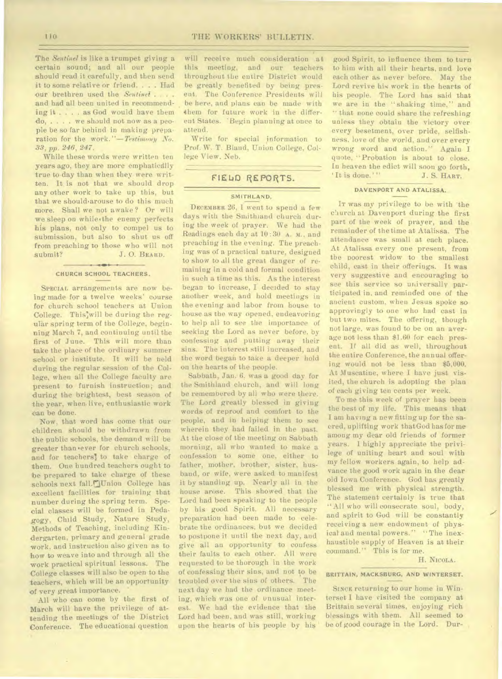The *Sentinel* is like a trumpet giving a certain sound; and all our people should read it carefully, and then send it to some relative or friend. . . . Had our brethren used the *Sentinel . . . .*  and had all been united in recommending it . . . . as God would have them do, . . . . we should not now as a people be so far behind in making preparation for the work. "-Testimony No. *33, pp. 246, 247.* 

While these words were written ten years ago, they are more emphaticdlly true to-day than when they were written. It is not that we should drop any other work to take up this, but that we should arouse to do this much more. Shall we not awake ? Or will we sleep on while'the enemy perfects his plans, not only to compel us to submission, but also to shut us off from preaching to those who will not submit? J. O. BEARD.

#### **CHURCH SCHOOL TEACHERS.**

SPECIAL arrangements are now being made for a twelve weeks' course for church school teachers at Union College. This'will be during the regular spring term of the College, beginning March 7, and continuing until the first of June. This will more than take the place of the ordinary summer school or institute. It will be held during the regular session of the College, when all the College faculty are present to furnish instruction; and during the brightest, best season of the year, when. live, enthusiastic work can be done.

Now, that word has come that our children should be withdrawn from the public schools, the demand will be greater than ever for church schools, and for teachers' to take charge of them. One hundred teachers ought to be prepared to take charge of these schools next fall.<sup>[C]</sup>Union College has excellent facilities for training that number during the spring term. Special classes will be formed in Pedagogy, Child Study, Nature Study, Methods of Teaching, including Kindergarten, primary and general grade work. and instruction also given as to how to weave into and through all the work practical spiritual lessons. The College classes will also be open to the teachers, which will be an opportunity of very great importance. •

All who can come by the first of March will have the privilege of attending the meetings of the District Conference. The educational question

will receive much consideration at this meeting. and our teachers throughout the entire District would be greatly benefited *by* being present. The Conference Presidents will be here, and plans can be made with them for future work in the different States. 'Begin planning at once to attend.

Write for special information to Prof. W. T. Bland, Union College, College View. Neb.

# FIELD REPORTS.

# **SMITHLAND.**

DECEMBER 26, I went to spend a few days with the Smithland church during the week of prayer. We had the Readings each day at 10 : 30 A. M.. and preaching in the evening. The preaching was of a practical nature, designed to show to all the great danger of remaining in a cold and formal condition in such a time as this. As the interest began to increase, I decided to stay another week, and hold meetings in the evening and labor from house to house as the way opened, endeavoring to help all to see the importance of seeking the Lord as never before, by confessing and putting away their sins. The interest still increased, and the word began to take a deeper hold on the hearts of the people.

Sabbath, Jan. 6. was a good day for the Smithlaud church, and will long be remembered by all who were there. The Lord greatly blessed in giving words of reproof and comfort to the people, and in helping them to see wherein they had failed in the past. At the close of the meeting on Sabbath morning, all who wanted to make a confession to some one, either to father, mother, brother, sister, husband, or wife, were asked to manifest it by standing up. Nearly all in the house arose. This showed that the Lord had been speaking to the people by his good Spirit. All necessary preparation had been made to celebrate the ordinances, but we decided to postpone it until the next day, and give all an opportunity to confess their faults to each other. All were requested to be thorough in the work of confessing their sins, and not to be troubled over the sins of others. The next day we had the ordinance meeting, which was one of unusual interest. We had the evidence that the Lord had been, and was still, working upon the hearts of his people by his

good Spirit, to influence them to turn to him with all their hearts, and love each other as never before. May the Lord revive his work in the hearts of his people. The Lord has said that we are in the "shaking time," and " that none could share the refreshing unless they obtain the victory over every besetment, over pride, selfishness, love of the world, and over every wrong word and action." Again I quote, "Probation is about to close. In heaven the edict will soon go forth,<br>'It is done.'''  $J. S. HART$ . J. S. HART.

### **DAVENPORT AND ATALISSA.**

Ir was my privilege to be with the cliurch at Davenport during the first part of the week of prayer, and the remainder of the time at Atalissa. The attendance was small at each place. At Atalissa every one present, from the poorest widow to the smallest child, cast in their offerings. It was very suggestive and encouraging to see this service so universally participated in. and reminded one of the ancient custom, when Jesus spoke so approvingly to one who had cast in but two mites. The offering, though not large, was found to be on an average not less than \$1.60 for each present. If all did as well, throughout the entire Conference, the annual offering would not be less than \$5,000. At Muscatine, where I have just visited, the church is adopting the plan of each giving ten cents per week.

To me this week of prayer has been the best of my life. This means that I am having a new fitting up for the sacred, uplifting work that God has for me among my dear old friends of former years. I highly appreciate the privilege of uniting heart and soul with my fellow workers *again,* to help advance the good work again in the dear old Iowa Conference. God has greatly blessed me with physical strength. The statement certainly is true that "All who will consecrate soul, body, and spirit to God will be constantly receiving a new endowment of physical and mental powers." "The inexhaustible supply of Heaven is at their command." This is for me.

H. NICOLA.

# **BRITTAIN, MACKSBURG, AND WINTERSET.**

SINCE returning to our home in Winterset I have visited the company at Brittain several times, enjoying rich blessings with them. All seemed to be of good courage in the Lord. Dur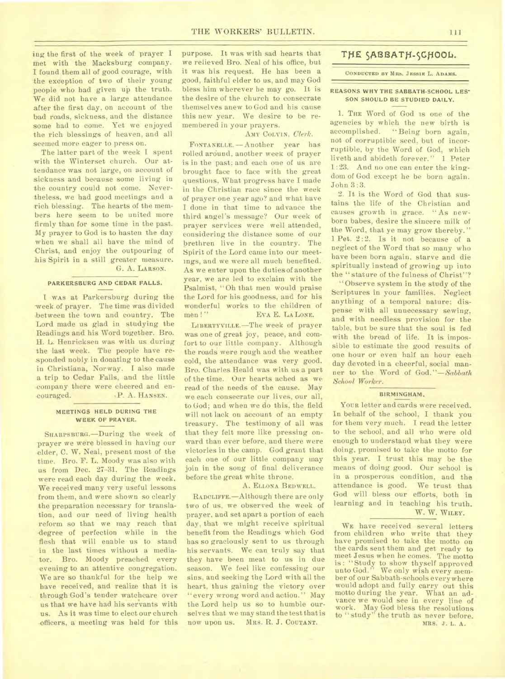ing the first of the week of prayer I met with the Macksburg company. I found them all of good courage, with the exception of two of their young people who had given up the truth. We did not have a large attendance after the first day, on account of the bad roads, sickness, and the distance some had to come. Yet we enjoyed the rich blessings of heaven, and all seemed more eager to press on.

The latter part of the week **I** spent with the Winterset church. Our attendance was not large, on account of sickness and because some living in the country could not come. Nevertheless, we had good meetings and a rich blessing. The hearts of the members here seem to be united more firmly than for some time in the past. My prayer to God is to hasten the day when we shall all have the mind of -Christ, and enjoy the outpouring of his Spirit in a still greater measure. G. A. **LARSON.** 

#### **PARKERSBURG AND CEDAR FALLS.**

**I WAS** at Parkersburg during the 'week of prayer. The time was divided between the town and country. The Lord made us glad in studying the Readings and his Word together. Bro. H. L. Henricksen was with us during the last week. The people have responded nobly in donating to the cause in Christiana, Norway. I also made a trip to Cedar Falls, and the little company there were cheered and encouraged. P. A. HANSEN.

# **MEETINGS HELD DURING THE WEEK OF PRAYER.**

**SHARPSBURG.—During** the week of prayer we were blessed in having our elder, C. W. Neal, present most of the time. Bro. F. L. Moody was also with us from Dec. 27-31. The Readings were read each day during the week. We received many very useful lessons from them, and were shown so clearly the preparation necessary for translation, and our need of living health reform so that we may reach that degree of perfection while in the flesh that will enable us to stand in the last times without a mediator. Bro. Moody preached every evening to an attentive congregation. We are so thankful for the help we have received, and realize that it is through God's tender watchcare over us that we have had his servants with us. As it was time to elect our church -officers, a meeting was held for this

purpose. It was with sad hearts that we relieved Bro. Neal of his office, but it was his request. He has been a good, faithful elder to us, and may God bless him wherever he may go. It is the desire of the church to consecrate themselves anew to God and his cause this new year. We desire to be remembered in your prayers.

# **AMY COLVIN,** *Clerk.*

*FONTANELLE.* —Another year has rolled around, another week of prayer is in the past; and each one of us are brought face to face with the great questions, What progress have I made in the Christian race since the week of prayer one year ago? and what have I done in that time to advance the third angel's message? Our week of prayer services were well attended, considering the distance some of our brethren live in the country. The Spirit of the Lord came into our meetings, and we were all much benefited. As we enter upon the dutiesof another year, we are led to exclaim with the Psalmist, "Oh that men would praise the Lord for his goodness, and for his wonderful works to the children of men!" EVA E. LALONE.

**LIBERTYVILLE.—The** week of prayer was one of great joy, peace, and comfort to our little company. Although the roads were rough and the weather cold, the attendance was very good. Bro. Charles Heald was with us a part of the time. Our hearts ached as we read of the needs of the cause. May we each consecrate our lives, our all, to God; and when we do this, the field will not lack on account of an empty treasury. The testimony of all was that they felt more like pressing onward than ever before, and there were victories in the camp. God grant that each one of our little company may join in the song of final deliverance before the great white throne.

## A. **ELLONA BEDWELL.**

**RADCLIFFE.—Although** there are only two of us, we observed the week of prayer, and set apart a portion of each day, that we might receive spiritual benefit from the Readings which God has so graciously sent to us through his servants. We can truly say that they have been meat to us in due season. We feel like confessing our sins, and seeking the Lord with all the heart, thus gaining the victory over "every wrong word and action." May the Lord help us so to humble ourselves that we may stand the test that is now upon **us. MRS.** R. J. **COUTANT.** 

# THE SABBATH-SCHOOL.

## **CONDUCTED BY MRS. JESSIE L. ADAMS.**

### **REASONS WHY THE SABBATH-SCHOOL LES-SON SHOULD BE STUDIED DAILY.**

**1. THE** Word of God is one of the agencies by which the new birth is accomplished. " Being born again, not of corruptible seed, but of incorruptible, by the Word of God, which liveth and abideth forever." 1 Peter 1 :23. And no one can enter the kingdom of God except he be born again. John 3 :3.

2. It is the Word of God that sustains the life of the Christian and causes growth in grace. "As newborn babes, desire the sincere milk of the Word, that ye may grow thereby." 1 Pet. 2:2. Is it not because of a neglect of the Word that so many who have been born again, starve and die spiritually instead of growing up into the "stature of the fulness of Christ"?

"Observe system in the study of the Scriptures in your families. Neglect anything of a temporal nature; dispense with all unnecessary sewing, and with needless provision for the table, but be sure that the soul is fed with the bread of life. It is impossible to estimate the good results of one hour or even half an hour each day devoted in a cheerful, social manner to the Word of *God."—Sabbath School Worker.* 

#### **BIRMINGHAM.**

YOUR letter and cards were received. In behalf of the school, I thank you for them very much. I read the letter to the school, and all who were old enough to understand what they were doing, promised to take the motto for this year. I trust this may be the means of doing good. Our school is in a prosperous condition, and the attendance is good. We trust that attendance is good. God will bless our efforts, both in learning and in teaching his truth. W. W. **WILEY.** 

**WE** have received several letters from children who write that they have promised to take the motto on the cards sent them and get ready to meet Jesus when he comes. The motto is : "Study to show thyself approved unto God." We only wish every member of our Sabbath-schools every where would adopt and fully carry out this motto during the year. What an advance we would see in every line of work. May God bless the resolutions to "study" the truth as never before. **MRS. J. L. A.**